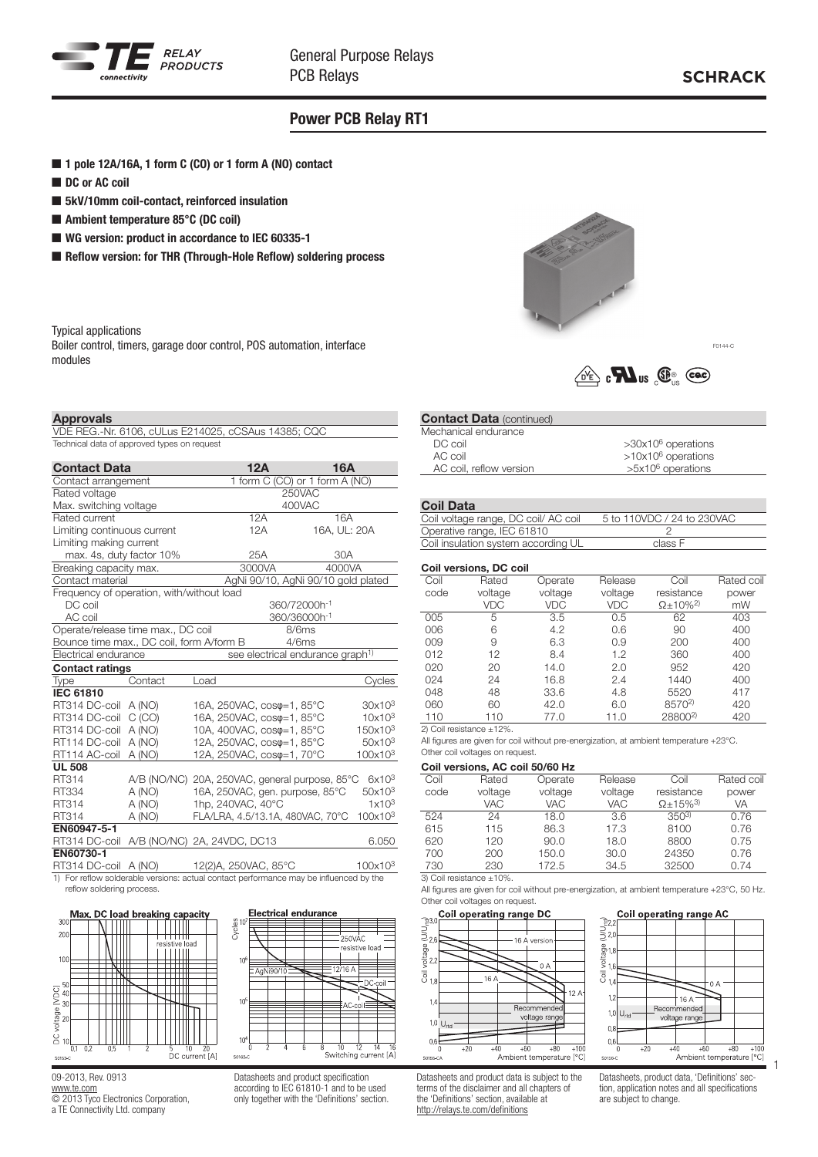

F0144-C

## Power PCB Relay RT1

- 1 pole 12A/16A, 1 form C (CO) or 1 form A (NO) contact
- DC or AC coil
- 5kV/10mm coil-contact, reinforced insulation
- Ambient temperature 85°C (DC coil)
- WG version: product in accordance to IEC 60335-1
- Reflow version: for THR (Through-Hole Reflow) soldering process

Typical applications

Boiler control, timers, garage door control, POS automation, interface modules



 $\overbrace{\mathbb{C}^{\mathbb{C}}}$   $\mathbb{C}$   $\overline{\mathbf{M}}$  us  $\overline{\mathbb{C}}$   $\overline{\mathbb{C}}$   $\overline{\mathbb{C}}$   $\overline{\mathbb{C}}$ 

### Approvals

VDE REG.-Nr. 6106, cULus E214025, cCSAus 14385; CQC Technical data of approved types on request

| <b>Contact Data</b>                                   |         | 12A<br><b>16A</b>                              |                     |  |  |
|-------------------------------------------------------|---------|------------------------------------------------|---------------------|--|--|
| 1 form C (CO) or 1 form A (NO)<br>Contact arrangement |         |                                                |                     |  |  |
| Rated voltage                                         |         | 250VAC                                         |                     |  |  |
| Max. switching voltage                                |         | 400VAC                                         |                     |  |  |
| Rated current                                         |         | 12A<br>16A                                     |                     |  |  |
| Limiting continuous current                           |         | 16A, UL: 20A<br>12A                            |                     |  |  |
| Limiting making current                               |         |                                                |                     |  |  |
| max. 4s, duty factor 10%                              |         | 25A<br>30A                                     |                     |  |  |
| Breaking capacity max.                                |         | 3000VA<br>4000VA                               |                     |  |  |
| Contact material                                      |         | AgNi 90/10, AgNi 90/10 gold plated             |                     |  |  |
| Frequency of operation, with/without load             |         |                                                |                     |  |  |
| DC coil                                               |         | 360/72000h <sup>-1</sup>                       |                     |  |  |
| AC coil                                               |         | 360/36000h <sup>-1</sup>                       |                     |  |  |
| Operate/release time max., DC coil                    |         | 8/6ms                                          |                     |  |  |
| Bounce time max., DC coil, form A/form B              |         | 4/6ms                                          |                     |  |  |
| Electrical endurance                                  |         | see electrical endurance graph <sup>1)</sup>   |                     |  |  |
| <b>Contact ratings</b>                                |         |                                                |                     |  |  |
| Type                                                  | Contact | Load                                           | Cycles              |  |  |
| <b>IEC 61810</b>                                      |         |                                                |                     |  |  |
| RT314 DC-coil                                         | A (NO)  | 16A, 250VAC, coso=1, 85°C                      | 30x10 <sup>3</sup>  |  |  |
| RT314 DC-coil                                         | C(CO)   | 16A, 250VAC, coso=1, 85°C                      | 10x10 <sup>3</sup>  |  |  |
| RT314 DC-coil                                         | A (NO)  | 10A, 400VAC, coso=1, 85°C                      | 150x10 <sup>3</sup> |  |  |
| RT114 DC-coil                                         | A (NO)  | 12A, 250VAC, coso=1, 85°C                      | 50x10 <sup>3</sup>  |  |  |
| RT114 AC-coil                                         | A (NO)  | 12A, 250VAC, cos $\varphi$ =1, 70°C            | 100x10 <sup>3</sup> |  |  |
| <b>UL 508</b>                                         |         |                                                |                     |  |  |
| RT314                                                 |         | A/B (NO/NC) 20A, 250VAC, general purpose, 85°C | $6x10^3$            |  |  |
| RT334                                                 | A (NO)  | 16A, 250VAC, gen. purpose, 85°C                | $50x10^3$           |  |  |
| RT314                                                 | A (NO)  | 1hp, 240VAC, 40°C                              | 1x10 <sup>3</sup>   |  |  |
| RT314                                                 | A (NO)  | FLA/LRA, 4.5/13.1A, 480VAC, 70°C               | 100x10 <sup>3</sup> |  |  |
| EN60947-5-1                                           |         |                                                |                     |  |  |
| RT314 DC-coil                                         |         | A/B (NO/NC) 2A, 24VDC, DC13                    | 6.050               |  |  |
| EN60730-1                                             |         |                                                |                     |  |  |
| RT314 DC-coil                                         | A (NO)  | 12(2)A, 250VAC, 85°C                           | 100x10 <sup>3</sup> |  |  |

1) For reflow solderable versions: actual contact performance may be influenced by the reflow soldering process.



Switching current [A]

09-2013, Rev. 0913 www.te.com © 2013 Tyco Electronics Corporation,

a TE Connectivity Ltd. company

Datasheets and product specification according to IEC 61810-1 and to be used only together with the 'Definitions' section.

#### **Contact Data (continued)** Mechanical endurance

| DC coil                 | $>30x10^6$ operations |
|-------------------------|-----------------------|
| AC coil                 | $>10x106$ operations  |
| AC coil, reflow version | $>5x10^6$ operations  |
|                         |                       |

#### Coil Data

| $VII$ pum                           |                            |
|-------------------------------------|----------------------------|
| Coil voltage range, DC coil/AC coil | 5 to 110VDC / 24 to 230VAC |
| Operative range, IEC 61810          |                            |
| Coil insulation system according UL | class F                    |

#### Coil versions, DC coil

| Coil | Rated   | Operate | Release    | Coil                         | Rated coil |
|------|---------|---------|------------|------------------------------|------------|
| code | voltage | voltage | voltage    | resistance                   | power      |
|      | VDC     | VDC     | <b>VDC</b> | $\Omega$ ± 10% <sup>2)</sup> | mW         |
| 005  | 5       | 3.5     | 0.5        | 62                           | 403        |
| 006  | 6       | 4.2     | 0.6        | 90                           | 400        |
| 009  | 9       | 6.3     | 0.9        | 200                          | 400        |
| 012  | 12      | 8.4     | 1.2        | 360                          | 400        |
| 020  | 20      | 14.0    | 2.0        | 952                          | 420        |
| 024  | 24      | 16.8    | 2.4        | 1440                         | 400        |
| 048  | 48      | 33.6    | 4.8        | 5520                         | 417        |
| 060  | 60      | 42.0    | 6.0        | 8570 <sup>2)</sup>           | 420        |
| 110  | 110     | 77.0    | 11.0       | 28800 <sup>2)</sup>          | 420        |

2) Coil resistance ±12%.

All figures are given for coil without pre-energization, at ambient temperature +23°C. Other coil voltages on request.

#### Coil versions, AC coil 50/60 Hz

| Coil | Rated      | Operate    | Release    | Coil                         | Rated coil |
|------|------------|------------|------------|------------------------------|------------|
| code | voltage    | voltage    | voltage    | resistance                   | power      |
|      | <b>VAC</b> | <b>VAC</b> | <b>VAC</b> | $\Omega$ + 15% <sup>3)</sup> | VA         |
| 524  | 24         | 18.0       | 3.6        | $350^{3}$                    | 0.76       |
| 615  | 115        | 86.3       | 17.3       | 8100                         | 0.76       |
| 620  | 120        | 90.0       | 18.0       | 8800                         | 0.75       |
| 700  | 200        | 150.0      | 30.0       | 24350                        | 0.76       |
| 730  | 230        | 172.5      | 34.5       | 32500                        | 0.74       |
|      |            |            |            |                              |            |

3) Coil resistance ±10%

All figures are given for coil without pre-energization, at ambient temperature +23°C, 50 Hz. Other coil voltages on request.





Datasheets and product data is subject to the terms of the disclaimer and all chapters of the 'Definitions' section, available at http://relays.te.com/definitions

Datasheets, product data, 'Definitions' section, application notes and all specifications are subject to change.

1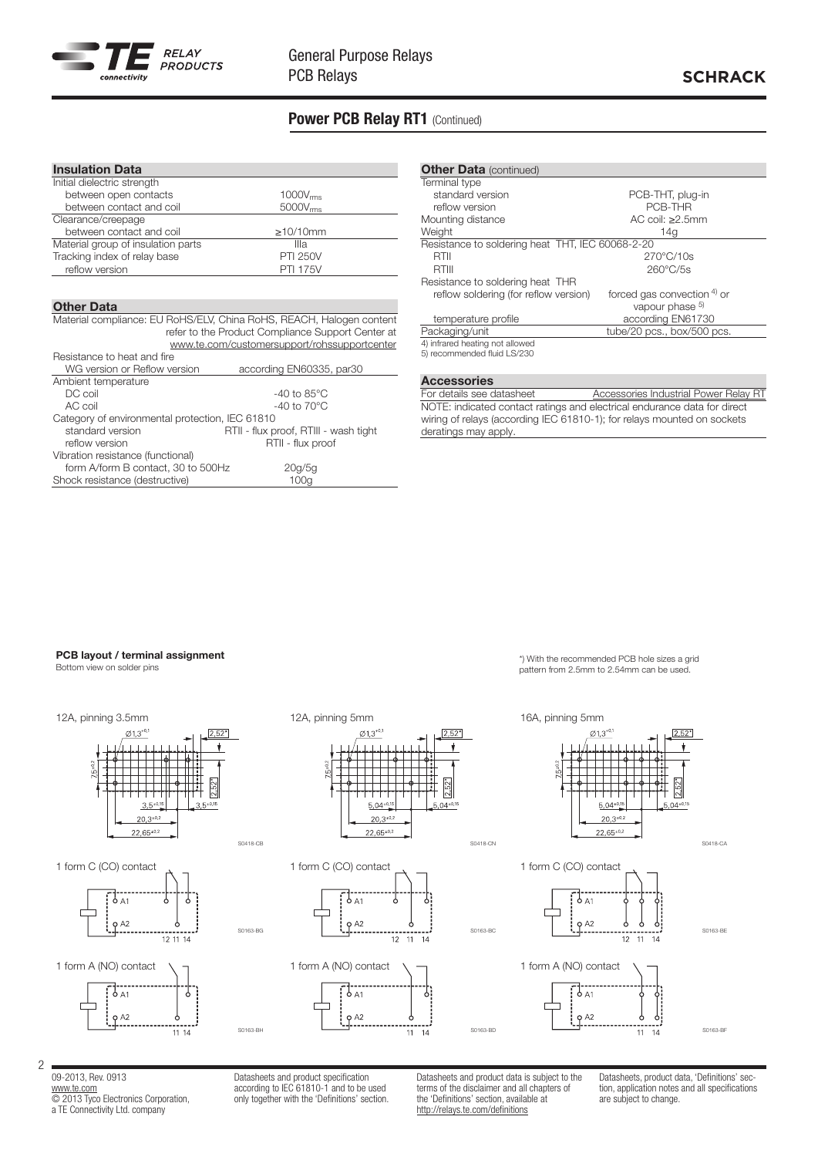

## Power PCB Relay RT1 (Continued)

| <b>Insulation Data</b>             |                      |
|------------------------------------|----------------------|
| Initial dielectric strength        |                      |
| between open contacts              | 1000V <sub>rms</sub> |
| between contact and coil           | 5000V <sub>rms</sub> |
| Clearance/creepage                 |                      |
| between contact and coil           | $\geq$ 10/10mm       |
| Material group of insulation parts | Illa                 |
| Tracking index of relay base       | <b>PTI 250V</b>      |
| reflow version                     | <b>PTI 175V</b>      |

#### Other Data

Material compliance: EU RoHS/ELV, China RoHS, REACH, Halogen content refer to the Product Compliance Support Center at www.te.com/customersupport/rohssupportcenter Resistance to heat and fire WG version or Reflow version according EN60335, par30 Ambient temperature DC coil <sup>-</sup><br>AC coil -40 to 85°C<br>-40 to 70°C -40 to  $70^{\circ}$ C Category of environmental protection, IEC 61810 standard version **RTII - flux proof, RTIII - wash tight**<br>reflow version **RTII - flux proof** RTII - flux proof Vibration resistance (functional) form A/form B contact, 30 to 500Hz 20g/5g Shock resistance (destructive) 100g

| <b>Other Data (continued)</b>                                  |                             |
|----------------------------------------------------------------|-----------------------------|
| Terminal type                                                  |                             |
| standard version                                               | PCB-THT, plug-in            |
| reflow version                                                 | PCB-THR                     |
| Mounting distance                                              | AC coil: $>2.5$ mm          |
| Weight                                                         | 14q                         |
| Resistance to soldering heat THT, IEC 60068-2-20               |                             |
| RTII                                                           | $270^{\circ}$ C/10s         |
| RTIII                                                          | $260^{\circ}$ C/5s          |
| Resistance to soldering heat THR                               |                             |
| reflow soldering (for reflow version)                          | forced gas convection 4) or |
|                                                                | vapour phase 5)             |
| temperature profile                                            | according EN61730           |
| Packaging/unit                                                 | tube/20 pcs., box/500 pcs.  |
| 4) infrared heating not allowed<br>5) recommended fluid LS/230 |                             |

#### Accessories

For details see datasheet Accessories Industrial Power Relay RT NOTE: indicated contact ratings and electrical endurance data for direct wiring of relays (according IEC 61810-1); for relays mounted on sockets deratings may apply.

#### PCB layout / terminal assignment

Bottom view on solder pins



09-2013, Rev. 0913 www.te.com © 2013 Tyco Electronics Corporation, a TE Connectivity Ltd. company

2

Datasheets and product specification according to IEC 61810-1 and to be used only together with the 'Definitions' section. Datasheets and product data is subject to the terms of the disclaimer and all chapters of the 'Definitions' section, available at http://relays.te.com/definitions

Datasheets, product data, 'Definitions' section, application notes and all specifications are subject to change.

# pattern from 2.5mm to 2.54mm can be used.

\*) With the recommended PCB hole sizes a grid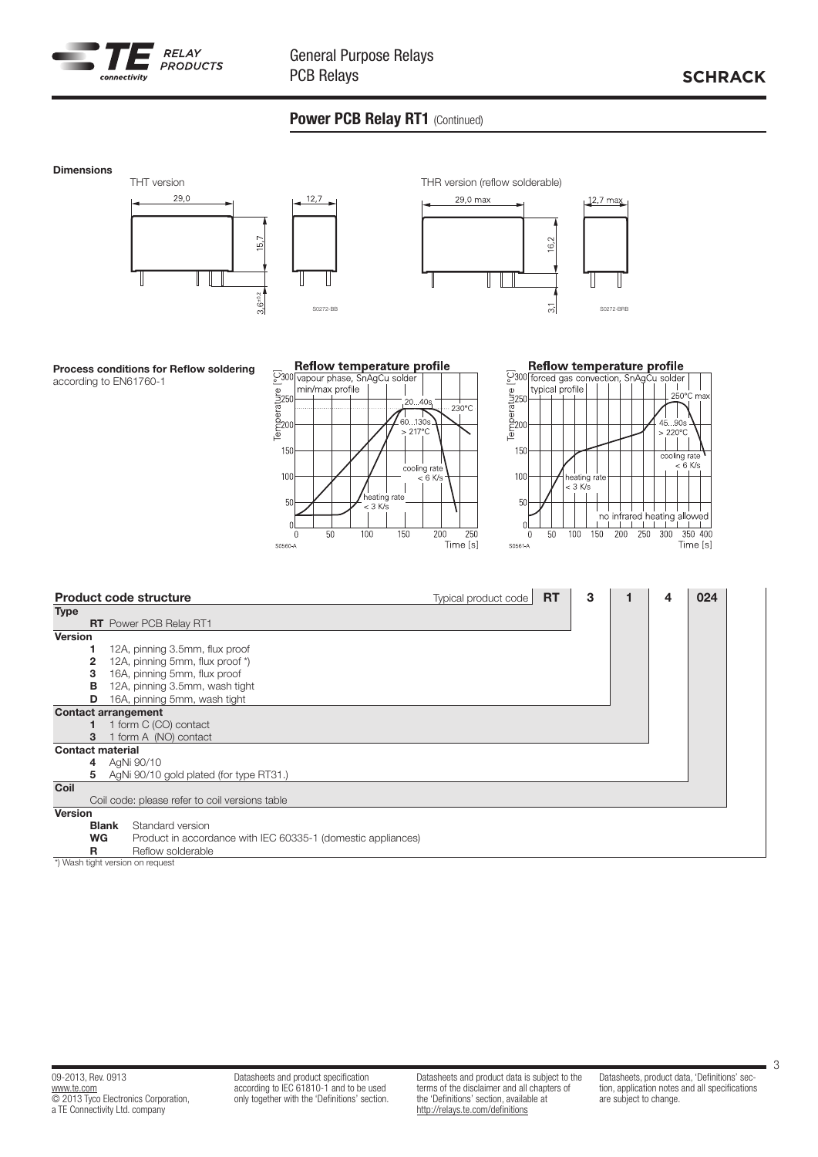

## Power PCB Relay RT1 (Continued)



3